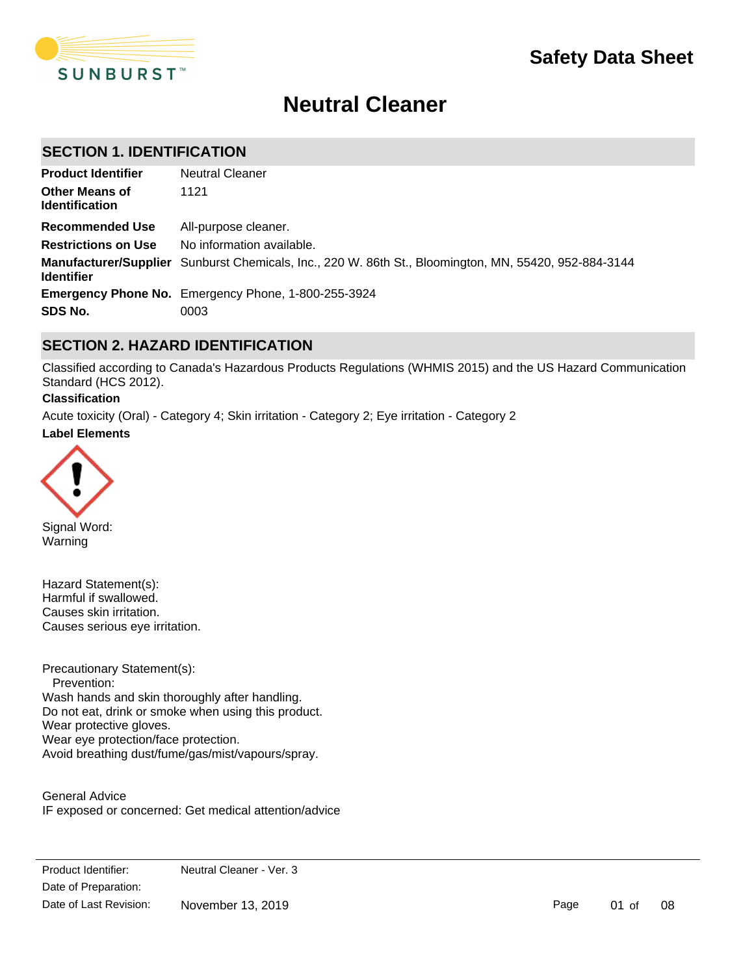

# **Neutral Cleaner**

# **SECTION 1. IDENTIFICATION**

| <b>Product Identifier</b>                      | <b>Neutral Cleaner</b>                                                                                |
|------------------------------------------------|-------------------------------------------------------------------------------------------------------|
| <b>Other Means of</b><br><b>Identification</b> | 1121                                                                                                  |
| Recommended Use                                | All-purpose cleaner.                                                                                  |
| <b>Restrictions on Use</b>                     | No information available.                                                                             |
| <b>Identifier</b>                              | Manufacturer/Supplier Sunburst Chemicals, Inc., 220 W. 86th St., Bloomington, MN, 55420, 952-884-3144 |
|                                                | <b>Emergency Phone No.</b> Emergency Phone, 1-800-255-3924                                            |
| SDS No.                                        | 0003                                                                                                  |

# **SECTION 2. HAZARD IDENTIFICATION**

Classified according to Canada's Hazardous Products Regulations (WHMIS 2015) and the US Hazard Communication Standard (HCS 2012).

### **Classification**

**Label Elements** Acute toxicity (Oral) - Category 4; Skin irritation - Category 2; Eye irritation - Category 2



Signal Word: Warning

Hazard Statement(s): Harmful if swallowed. Causes skin irritation. Causes serious eye irritation.

Precautionary Statement(s): Prevention: Wash hands and skin thoroughly after handling. Do not eat, drink or smoke when using this product. Wear protective gloves. Wear eye protection/face protection. Avoid breathing dust/fume/gas/mist/vapours/spray.

General Advice IF exposed or concerned: Get medical attention/advice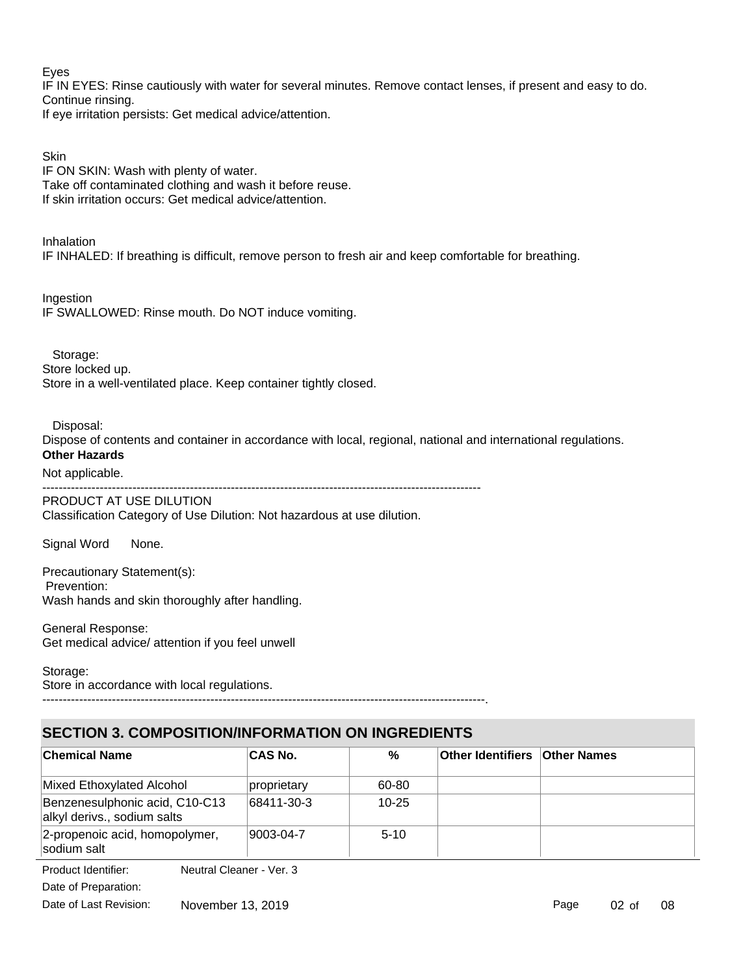Eyes

IF IN EYES: Rinse cautiously with water for several minutes. Remove contact lenses, if present and easy to do. Continue rinsing.

If eye irritation persists: Get medical advice/attention.

**Skin** 

IF ON SKIN: Wash with plenty of water. Take off contaminated clothing and wash it before reuse. If skin irritation occurs: Get medical advice/attention.

Inhalation IF INHALED: If breathing is difficult, remove person to fresh air and keep comfortable for breathing.

Ingestion IF SWALLOWED: Rinse mouth. Do NOT induce vomiting.

 Storage: Store locked up.

Store in a well-ventilated place. Keep container tightly closed.

Disposal:

Dispose of contents and container in accordance with local, regional, national and international regulations. **Other Hazards**

# Not applicable.

-----------------------------------------------------------------------------------------------------------

### PRODUCT AT USE DILUTION

Classification Category of Use Dilution: Not hazardous at use dilution.

Signal Word None.

Precautionary Statement(s): Prevention: Wash hands and skin thoroughly after handling.

General Response: Get medical advice/ attention if you feel unwell

Storage: Store in accordance with local regulations.

# **SECTION 3. COMPOSITION/INFORMATION ON INGREDIENTS**

------------------------------------------------------------------------------------------------------------.

| <b>Chemical Name</b>                                          | <b>CAS No.</b> | %         | <b>Other Identifiers Other Names</b> |  |
|---------------------------------------------------------------|----------------|-----------|--------------------------------------|--|
| Mixed Ethoxylated Alcohol                                     | proprietary    | 60-80     |                                      |  |
| Benzenesulphonic acid, C10-C13<br>alkyl derivs., sodium salts | 68411-30-3     | $10 - 25$ |                                      |  |
| 2-propenoic acid, homopolymer,<br>sodium salt                 | 9003-04-7      | $5-10$    |                                      |  |

Date of Preparation: Product Identifier: Neutral Cleaner - Ver. 3 Date of Last Revision: November 13, 2019

Page 02 of 08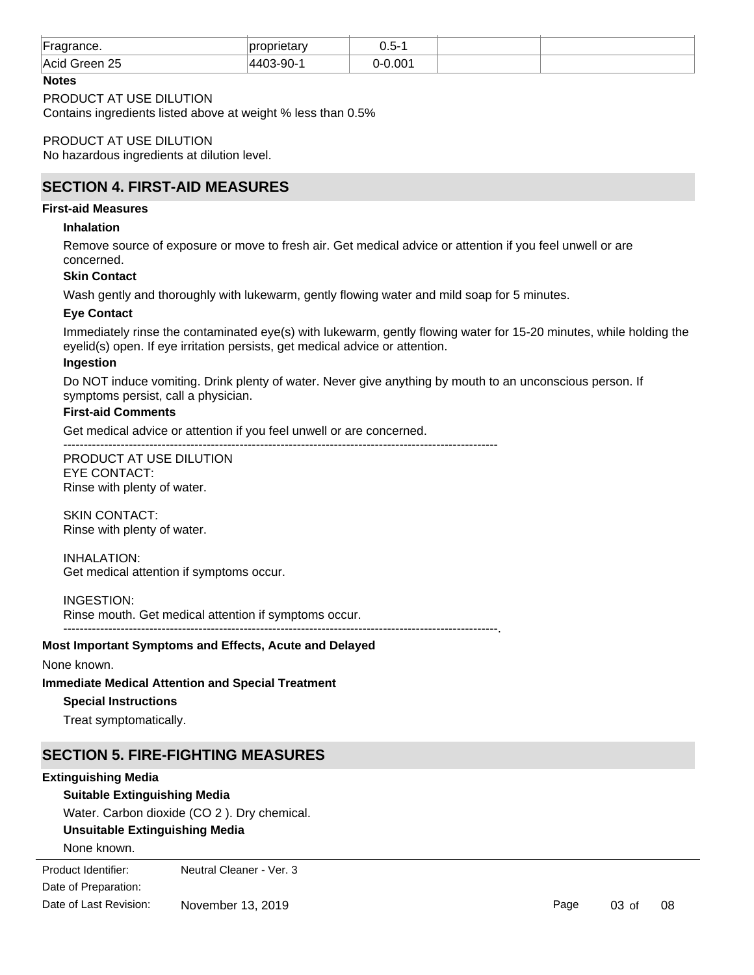| Fradrance.<br>∽              | propri<br>one<br>∠ıal⊻ | $\sim$ $-$<br>∽-<br>U.O |  |
|------------------------------|------------------------|-------------------------|--|
| 25<br>∣Acid<br>areen<br>____ | . .                    | :00                     |  |

### **Notes**

PRODUCT AT USE DILUTION

Contains ingredients listed above at weight % less than 0.5%

PRODUCT AT USE DILUTION No hazardous ingredients at dilution level.

# **SECTION 4. FIRST-AID MEASURES**

### **First-aid Measures**

### **Inhalation**

Remove source of exposure or move to fresh air. Get medical advice or attention if you feel unwell or are concerned.

### **Skin Contact**

Wash gently and thoroughly with lukewarm, gently flowing water and mild soap for 5 minutes.

### **Eye Contact**

Immediately rinse the contaminated eye(s) with lukewarm, gently flowing water for 15-20 minutes, while holding the eyelid(s) open. If eye irritation persists, get medical advice or attention.

----------------------------------------------------------------------------------------------------------.

### **Ingestion**

Do NOT induce vomiting. Drink plenty of water. Never give anything by mouth to an unconscious person. If symptoms persist, call a physician.

#### **First-aid Comments**

Get medical advice or attention if you feel unwell or are concerned.

----------------------------------------------------------------------------------------------------------

PRODUCT AT USE DILUTION EYE CONTACT: Rinse with plenty of water.

SKIN CONTACT: Rinse with plenty of water.

INHALATION: Get medical attention if symptoms occur.

INGESTION:

Rinse mouth. Get medical attention if symptoms occur.

### **Most Important Symptoms and Effects, Acute and Delayed**

None known.

### **Immediate Medical Attention and Special Treatment**

### **Special Instructions**

Treat symptomatically.

# **SECTION 5. FIRE-FIGHTING MEASURES**

### **Extinguishing Media**

### **Suitable Extinguishing Media**

Water. Carbon dioxide (CO 2 ). Dry chemical.

### **Unsuitable Extinguishing Media**

None known.

Date of Preparation: Product Identifier: Neutral Cleaner - Ver. 3 Date of Last Revision: November 13, 2019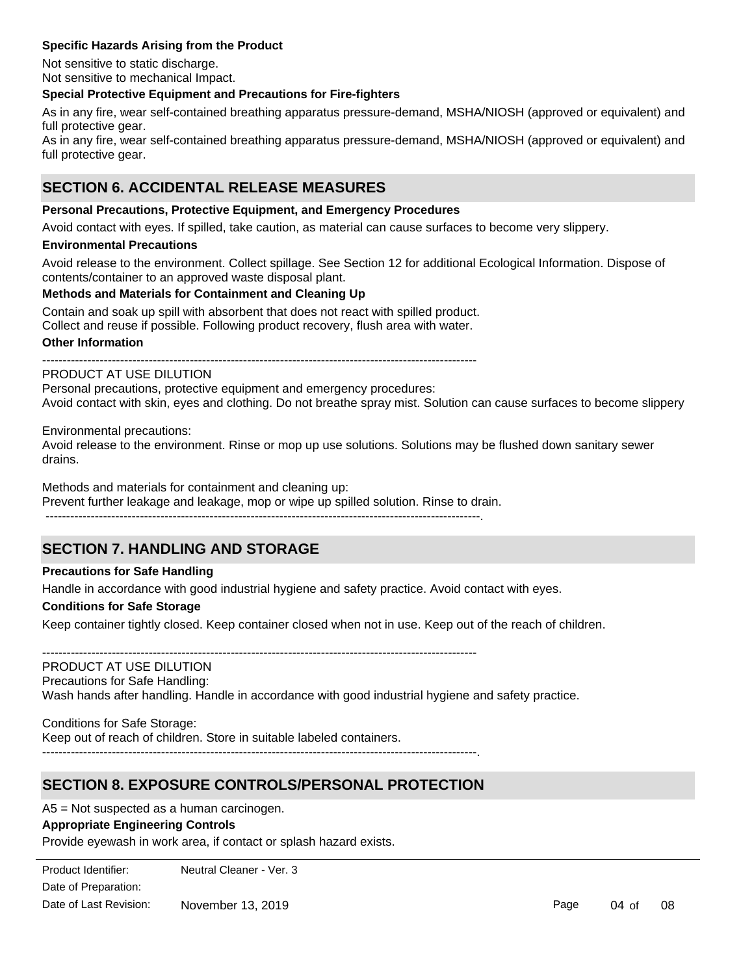### **Specific Hazards Arising from the Product**

Not sensitive to static discharge. Not sensitive to mechanical Impact.

### **Special Protective Equipment and Precautions for Fire-fighters**

As in any fire, wear self-contained breathing apparatus pressure-demand, MSHA/NIOSH (approved or equivalent) and full protective gear.

As in any fire, wear self-contained breathing apparatus pressure-demand, MSHA/NIOSH (approved or equivalent) and full protective gear.

# **SECTION 6. ACCIDENTAL RELEASE MEASURES**

### **Personal Precautions, Protective Equipment, and Emergency Procedures**

Avoid contact with eyes. If spilled, take caution, as material can cause surfaces to become very slippery.

#### **Environmental Precautions**

Avoid release to the environment. Collect spillage. See Section 12 for additional Ecological Information. Dispose of contents/container to an approved waste disposal plant.

### **Methods and Materials for Containment and Cleaning Up**

Contain and soak up spill with absorbent that does not react with spilled product.

Collect and reuse if possible. Following product recovery, flush area with water.

### **Other Information**

----------------------------------------------------------------------------------------------------------

### PRODUCT AT USE DILUTION

Personal precautions, protective equipment and emergency procedures: Avoid contact with skin, eyes and clothing. Do not breathe spray mist. Solution can cause surfaces to become slippery

Environmental precautions:

Avoid release to the environment. Rinse or mop up use solutions. Solutions may be flushed down sanitary sewer drains.

Methods and materials for containment and cleaning up:

Prevent further leakage and leakage, mop or wipe up spilled solution. Rinse to drain.

----------------------------------------------------------------------------------------------------------.

# **SECTION 7. HANDLING AND STORAGE**

### **Precautions for Safe Handling**

Handle in accordance with good industrial hygiene and safety practice. Avoid contact with eyes.

#### **Conditions for Safe Storage**

Keep container tightly closed. Keep container closed when not in use. Keep out of the reach of children.

----------------------------------------------------------------------------------------------------------

### PRODUCT AT USE DILUTION Precautions for Safe Handling: Wash hands after handling. Handle in accordance with good industrial hygiene and safety practice.

Conditions for Safe Storage: Keep out of reach of children. Store in suitable labeled containers. ----------------------------------------------------------------------------------------------------------.

# **SECTION 8. EXPOSURE CONTROLS/PERSONAL PROTECTION**

A5 = Not suspected as a human carcinogen.

### **Appropriate Engineering Controls**

**Individual Protection Measures**

Provide eyewash in work area, if contact or splash hazard exists.

Date of Preparation: Product Identifier: Neutral Cleaner - Ver. 3 Date of Last Revision: November 13, 2019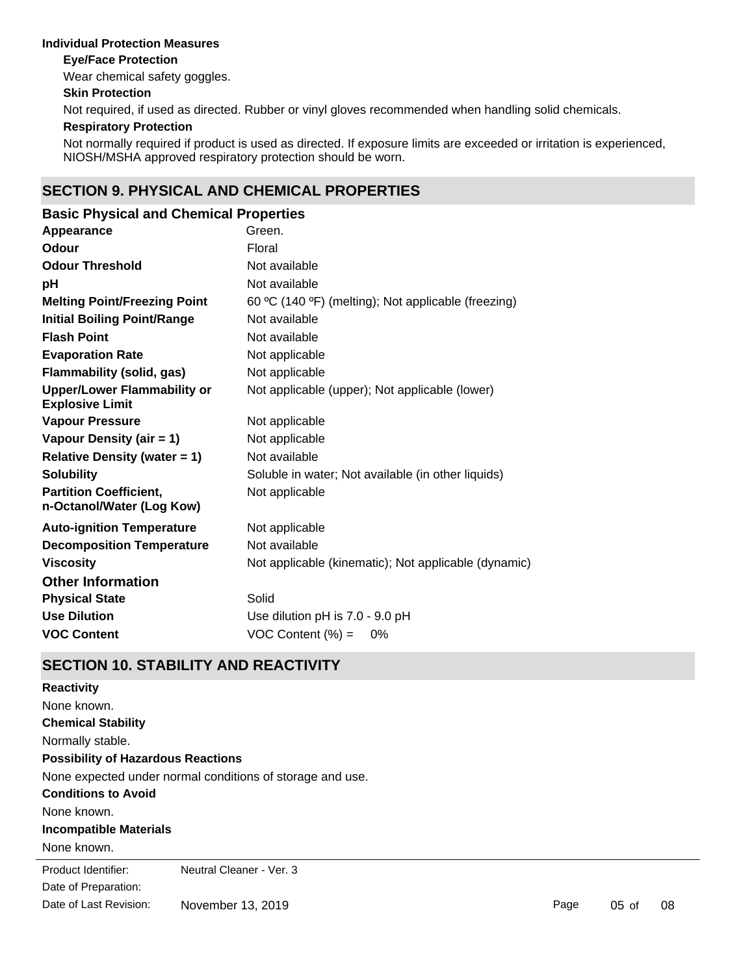### **Individual Protection Measures**

### **Eye/Face Protection**

Wear chemical safety goggles.

### **Skin Protection**

Not required, if used as directed. Rubber or vinyl gloves recommended when handling solid chemicals.

### **Respiratory Protection**

Not normally required if product is used as directed. If exposure limits are exceeded or irritation is experienced, NIOSH/MSHA approved respiratory protection should be worn.

# **SECTION 9. PHYSICAL AND CHEMICAL PROPERTIES**

| <b>Basic Physical and Chemical Properties</b>                |                                                      |
|--------------------------------------------------------------|------------------------------------------------------|
| Appearance                                                   | Green.                                               |
| Odour                                                        | Floral                                               |
| <b>Odour Threshold</b>                                       | Not available                                        |
| pH                                                           | Not available                                        |
| <b>Melting Point/Freezing Point</b>                          | 60 °C (140 °F) (melting); Not applicable (freezing)  |
| <b>Initial Boiling Point/Range</b>                           | Not available                                        |
| <b>Flash Point</b>                                           | Not available                                        |
| <b>Evaporation Rate</b>                                      | Not applicable                                       |
| <b>Flammability (solid, gas)</b>                             | Not applicable                                       |
| <b>Upper/Lower Flammability or</b><br><b>Explosive Limit</b> | Not applicable (upper); Not applicable (lower)       |
| <b>Vapour Pressure</b>                                       | Not applicable                                       |
| Vapour Density (air = 1)                                     | Not applicable                                       |
| <b>Relative Density (water = 1)</b>                          | Not available                                        |
| <b>Solubility</b>                                            | Soluble in water; Not available (in other liquids)   |
| <b>Partition Coefficient,</b><br>n-Octanol/Water (Log Kow)   | Not applicable                                       |
| <b>Auto-ignition Temperature</b>                             | Not applicable                                       |
| <b>Decomposition Temperature</b>                             | Not available                                        |
| <b>Viscosity</b>                                             | Not applicable (kinematic); Not applicable (dynamic) |
| <b>Other Information</b>                                     |                                                      |
| <b>Physical State</b>                                        | Solid                                                |
| <b>Use Dilution</b>                                          | Use dilution pH is 7.0 - 9.0 pH                      |
| <b>VOC Content</b>                                           | $VOC$ Content $(\%) =$<br>0%                         |

# **SECTION 10. STABILITY AND REACTIVITY**

| <b>Reactivity</b>                         |                                                           |
|-------------------------------------------|-----------------------------------------------------------|
| None known.                               |                                                           |
| <b>Chemical Stability</b>                 |                                                           |
| Normally stable.                          |                                                           |
| <b>Possibility of Hazardous Reactions</b> |                                                           |
|                                           | None expected under normal conditions of storage and use. |
| <b>Conditions to Avoid</b>                |                                                           |
| None known.                               |                                                           |
| <b>Incompatible Materials</b>             |                                                           |
| None known.                               |                                                           |
| Product Identifier:                       | Neutral Cleaner - Ver. 3                                  |
| Date of Preparation:                      |                                                           |
| Date of Last Revision:                    | November 13, 2019                                         |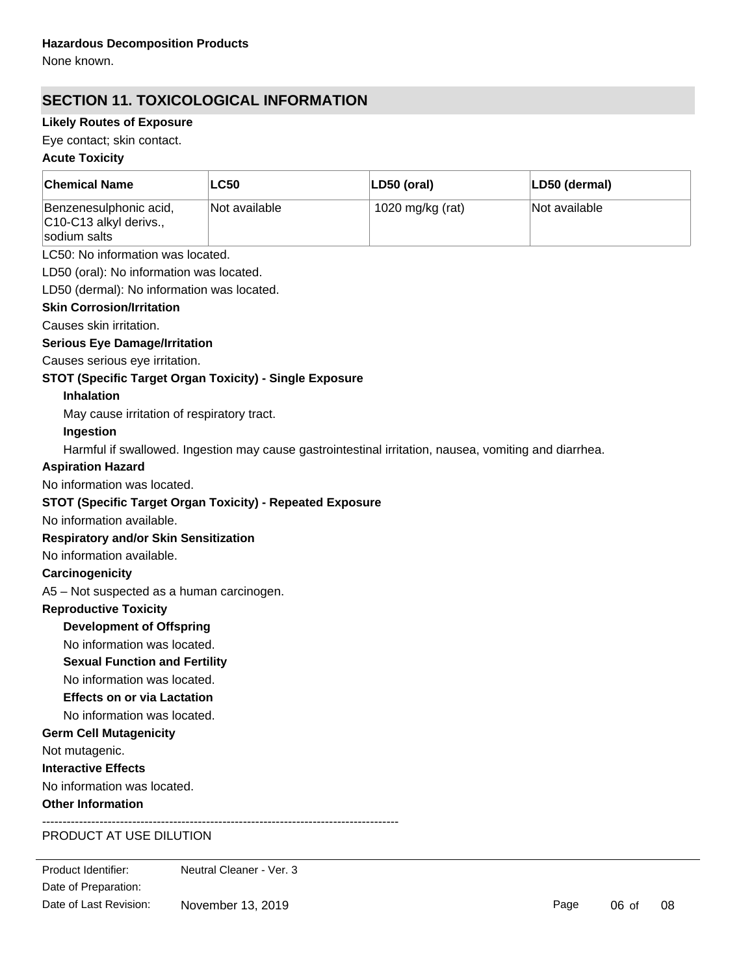None known.

# **SECTION 11. TOXICOLOGICAL INFORMATION**

# **Likely Routes of Exposure**

Eye contact; skin contact.

# **Acute Toxicity**

| <b>Chemical Name</b>                                             | <b>LC50</b>   | LD50 (oral)                                                                                           | LD50 (dermal) |  |  |
|------------------------------------------------------------------|---------------|-------------------------------------------------------------------------------------------------------|---------------|--|--|
| Benzenesulphonic acid,<br>C10-C13 alkyl derivs.,<br>sodium salts | Not available | 1020 mg/kg (rat)                                                                                      | Not available |  |  |
| LC50: No information was located.                                |               |                                                                                                       |               |  |  |
| LD50 (oral): No information was located.                         |               |                                                                                                       |               |  |  |
| LD50 (dermal): No information was located.                       |               |                                                                                                       |               |  |  |
| <b>Skin Corrosion/Irritation</b>                                 |               |                                                                                                       |               |  |  |
| Causes skin irritation.                                          |               |                                                                                                       |               |  |  |
| <b>Serious Eye Damage/Irritation</b>                             |               |                                                                                                       |               |  |  |
| Causes serious eye irritation.                                   |               |                                                                                                       |               |  |  |
| STOT (Specific Target Organ Toxicity) - Single Exposure          |               |                                                                                                       |               |  |  |
| <b>Inhalation</b>                                                |               |                                                                                                       |               |  |  |
| May cause irritation of respiratory tract.                       |               |                                                                                                       |               |  |  |
| Ingestion                                                        |               |                                                                                                       |               |  |  |
|                                                                  |               | Harmful if swallowed. Ingestion may cause gastrointestinal irritation, nausea, vomiting and diarrhea. |               |  |  |
| <b>Aspiration Hazard</b>                                         |               |                                                                                                       |               |  |  |
| No information was located.                                      |               |                                                                                                       |               |  |  |
| <b>STOT (Specific Target Organ Toxicity) - Repeated Exposure</b> |               |                                                                                                       |               |  |  |
| No information available.                                        |               |                                                                                                       |               |  |  |
| <b>Respiratory and/or Skin Sensitization</b>                     |               |                                                                                                       |               |  |  |
| No information available.                                        |               |                                                                                                       |               |  |  |
| Carcinogenicity                                                  |               |                                                                                                       |               |  |  |
| A5 - Not suspected as a human carcinogen.                        |               |                                                                                                       |               |  |  |
| <b>Reproductive Toxicity</b>                                     |               |                                                                                                       |               |  |  |
| <b>Development of Offspring</b>                                  |               |                                                                                                       |               |  |  |
| No information was located.                                      |               |                                                                                                       |               |  |  |
| <b>Sexual Function and Fertility</b>                             |               |                                                                                                       |               |  |  |
| No information was located.                                      |               |                                                                                                       |               |  |  |
| <b>Effects on or via Lactation</b>                               |               |                                                                                                       |               |  |  |
| No information was located.                                      |               |                                                                                                       |               |  |  |
| <b>Germ Cell Mutagenicity</b>                                    |               |                                                                                                       |               |  |  |
| Not mutagenic.                                                   |               |                                                                                                       |               |  |  |
| <b>Interactive Effects</b>                                       |               |                                                                                                       |               |  |  |
| No information was located.                                      |               |                                                                                                       |               |  |  |
| <b>Other Information</b>                                         |               |                                                                                                       |               |  |  |
| DDADUAT AT HAF DILLITIAN                                         |               |                                                                                                       |               |  |  |

# PRODUCT AT USE DILUTION

Product Identifier: Neutral Cleaner - Ver. 3 Executives are not known or expected under normal use. Date of Preparation: **Health injuries are not known or expected under normal use.** Date of Last Revision: November 13, 2019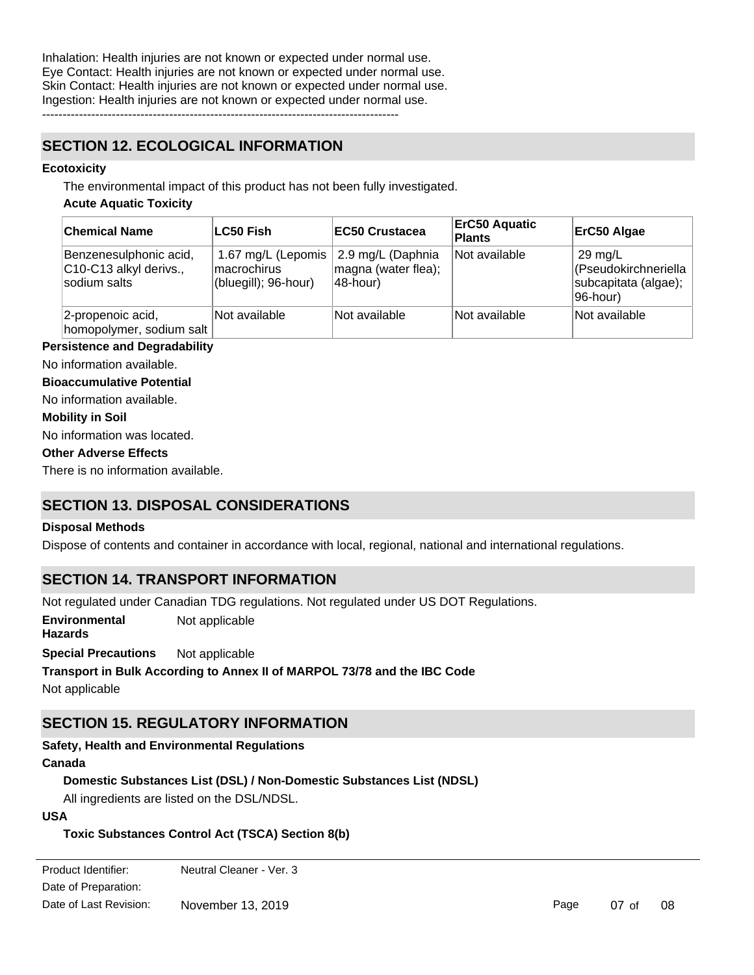Inhalation: Health injuries are not known or expected under normal use. Eye Contact: Health injuries are not known or expected under normal use. Skin Contact: Health injuries are not known or expected under normal use. Ingestion: Health injuries are not known or expected under normal use. ---------------------------------------------------------------------------------------

**SECTION 12. ECOLOGICAL INFORMATION**

### **Ecotoxicity**

The environmental impact of this product has not been fully investigated.

### **Acute Aquatic Toxicity**

| <b>Chemical Name</b>                                             | <b>LC50 Fish</b>                                          | <b>EC50 Crustacea</b>                                | <b>ErC50 Aquatic</b><br><b>Plants</b> | ErC50 Algae                                                                   |
|------------------------------------------------------------------|-----------------------------------------------------------|------------------------------------------------------|---------------------------------------|-------------------------------------------------------------------------------|
| Benzenesulphonic acid,<br>C10-C13 alkyl derivs.,<br>sodium salts | 1.67 mg/L (Lepomis<br>macrochirus<br>(bluegill); 96-hour) | 2.9 mg/L (Daphnia<br>magna (water flea);<br>48-hour) | Not available                         | $29 \text{ mg/L}$<br>(Pseudokirchneriella<br>subcapitata (algae);<br>96-hour) |
| 2-propenoic acid,<br>homopolymer, sodium salt                    | Not available                                             | Not available                                        | Not available                         | Not available                                                                 |

### **Persistence and Degradability**

No information available.

**Bioaccumulative Potential**

No information available.

### **Mobility in Soil**

No information was located.

### **Other Adverse Effects**

There is no information available.

# **SECTION 13. DISPOSAL CONSIDERATIONS**

### **Disposal Methods**

Dispose of contents and container in accordance with local, regional, national and international regulations.

# **SECTION 14. TRANSPORT INFORMATION**

Not regulated under Canadian TDG regulations. Not regulated under US DOT Regulations.

**Environmental Hazards** Not applicable

**Special Precautions** Not applicable

# **Transport in Bulk According to Annex II of MARPOL 73/78 and the IBC Code**

Not applicable

# **SECTION 15. REGULATORY INFORMATION**

**Canada Safety, Health and Environmental Regulations**

# **Domestic Substances List (DSL) / Non-Domestic Substances List (NDSL)**

All ingredients are listed on the DSL/NDSL.

### **USA**

# **Toxic Substances Control Act (TSCA) Section 8(b)**